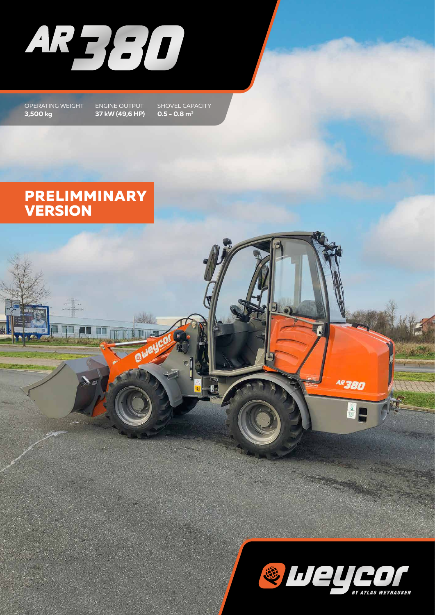

OPERATING WEIGHT **3,500 kg**

ENGINE OUTPUT **37 kW (49,6 HP)**

SHOVEL CAPACITY **0.5 - 0.8 m3**

## **PRELIMMINARY VERSION**



AR 380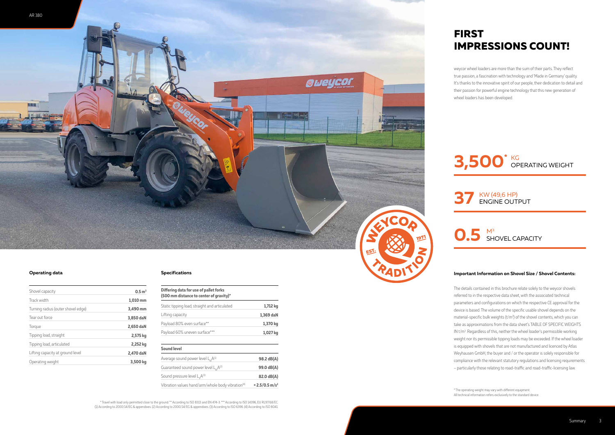

#### **Operating data Specifications**

| Differing data for use of pallet forks<br>(500 mm distance to center of gravity)* |                              |
|-----------------------------------------------------------------------------------|------------------------------|
| Static tipping load, straight and articulated                                     | 1,712 kg                     |
| Lifting capacity                                                                  | 1,369 daN                    |
| Payload 80% even surface**                                                        | 1,370 kg                     |
| Payload 60% uneven surface***                                                     | 1,027 kg                     |
| <b>Sound level</b>                                                                |                              |
| Average sound power level $L_wA^{(1)}$                                            | 98.2 dB(A)                   |
| Guaranteed sound power level $L_{w}A^{(2)}$                                       | 99.0 dB(A)                   |
| Sound pressure level L <sub>n</sub> A <sup>(3)</sup>                              | 82.0 dB(A)                   |
| Vibration values hand/arm/whole body vibration <sup>(4)</sup>                     | $< 2.5/0.5$ m/s <sup>2</sup> |

| Shovel capacity                    | 0.5 m <sup>3</sup> |
|------------------------------------|--------------------|
| Track width                        | 1,010 mm           |
| Turning radius (outer shovel edge) | 3,490 mm           |
| Tear out force                     | 3,850 daN          |
| Torque                             | 2,650 daN          |
| Tipping load, straight             | 2,575 kg           |
| Tipping load, articulated          | 2,252 kg           |
| Lifting capacity at ground level   | 2,470 daN          |
| Operating weight                   | 3,500 kg           |

## **FIRST IMPRESSIONS COUNT!**

weycor wheel loaders are more than the sum of their parts. They reflect true passion, a fascination with technology and 'Made in Germany' quality. It's thanks to the innovative spirit of our people, their dedication to detail and their passion for powerful engine technology that this new generation of wheel loaders has been developed.

\* The operating weight may vary with different equipment. All technical information refers exclusively to the standard device.

\* Travel with load only permitted close to the ground. \*\* According to ISO 8313 and EN 474-3. \*\*\* According to ISO 14396, EU RL97/68/EC. (1) According to 2000/14/EG & appendixes. (2) According to 2000/14/EG & appendixes. (3) According to ISO 6396. (4) According to ISO 8041.







# **37**

#### **Important Information on Shovel Size / Shovel Contents:**

The details contained in this brochure relate solely to the weycor shovels referred to in the respective data sheet, with the associated technical parameters and configurations on which the respective CE approval for the device is based. The volume of the specific usable shovel depends on the material-specific bulk weights (t/m<sup>3</sup>) of the shovel contents, which you can take as approximations from the data sheet's TABLE OF SPECIFIC WEIGHTS IN t/m<sup>3</sup>. Regardless of this, neither the wheel loader's permissible working weight nor its permissible tipping loads may be exceeded. If the wheel loader is equipped with shovels that are not manufactured and licenced by Atlas Weyhausen GmbH, the buyer and / or the operator is solely responsible for compliance with the relevant statutory regulations and licensing requirements – particularly those relating to road-traffic and road-traffic-licensing law.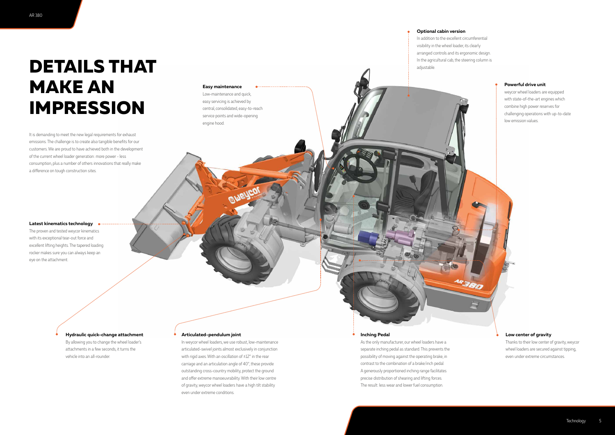#### **Powerful drive unit**

weycor wheel loaders are equipped with state-of-the-art engines which combine high power reserves for challenging operations with up-to-date low emission values.

#### **Low center of gravity**

Thanks to their low center of gravity, weycor wheel loaders are secured against tipping, even under extreme circumstances.

#### **Latest kinematics technology**

The proven and tested weycor kinematics with its exceptional tear-out force and excellent lifting heights. The tapered loading rocker makes sure you can always keep an eye on the attachment.

#### **Optional cabin version**

In addition to the excellent circumferential visibility in the wheel loader, its clearly arranged controls and its ergonomic design. In the agricultural cab, the steering column is adjustable.

#### **Hydraulic quick-change attachment**

By allowing you to change the wheel loader's attachments in a few seconds, it turns the vehicle into an all-rounder.

#### **Easy maintenance**

Low-maintenance and quick, easy servicing is achieved by central, consolidated, easy-to-reach service points and wide-opening engine hood.

It is demanding to meet the new legal requirements for exhaust emissions. The challenge is to create also tangible benefits for our customers. We are proud to have achieved both in the development of the current wheel loader generation: more power - less consumption, plus a number of others innovations that really make a difference on tough construction sites.

## **DETAILS THAT MAKE AN IMPRESSION**

#### **Inching Pedal**

As the only manufacturer, our wheel loaders have a separate inching pedal as standard. This prevents the possibility of moving against the operating brake, in contrast to the combination of a brake/inch pedal. A generously proportioned inching range facilitates precise distribution of shearing and lifting forces. The result: less wear and lower fuel consumption.

#### **Articulated-pendulum joint**

In weycor wheel loaders, we use robust, low-maintenance articulated-swivel joints almost exclusively in conjunction with rigid axes. With an oscillation of  $\pm 12^{\circ}$  in the rear carriage and an articulation angle of 40°, these provide outstanding cross-country mobility, protect the ground and offer extreme manoeuvrability. With their low centre of gravity, weycor wheel loaders have a high tilt stability even under extreme conditions.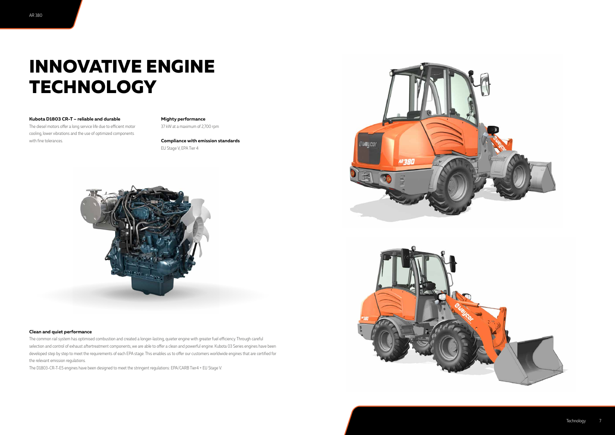#### **Kubota D1803 CR-T – reliable and durable**

The diesel motors offer a long service life due to efficient motor cooling, lower vibrations and the use of optimized components with fine tolerances.

#### **Mighty performance**

37 kW at a maximum of 2,700 rpm

**Compliance with emission standards** EU Stage V, EPA Tier 4



## **INNOVATIVE ENGINE TECHNOLOGY**

#### **Clean and quiet performance**

The common rail system has optimised combustion and created a longer-lasting, quieter engine with greater fuel efficiency. Through careful selection and control of exhaust aftertreatment components, we are able to offer a clean and powerful engine. Kubota 03 Series engines have been developed step by step to meet the requirements of each EPA stage. This enables us to offer our customers worldwide engines that are certified for the relevant emission regulations.

The D1803-CR-T-E5 engines have been designed to meet the stringent regulations: EPA/CARB Tier4 + EU Stage V.



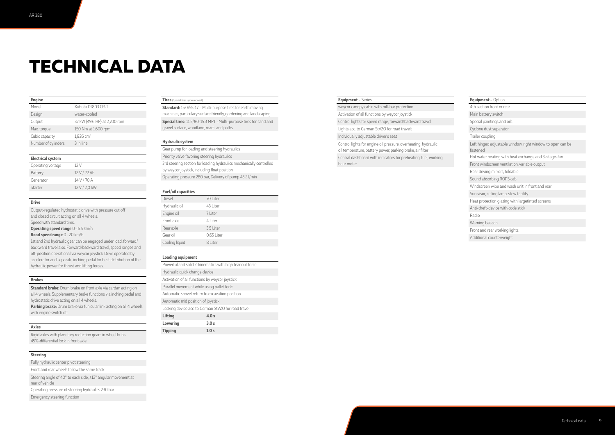# **TECHNICAL DATA**

| <b>Engine</b>       |                              |
|---------------------|------------------------------|
| Model               | Kubota D1803 CR-T            |
| Design              | water-cooled                 |
| Output              | 37 kW (49.6 HP) at 2,700 rpm |
| Max. torque         | 150 Nm at 1,600 rpm          |
| Cubic capacity      | $1,826$ cm <sup>3</sup>      |
| Number of cylinders | 3 in line                    |

#### **Electrical system**

| Operating voltage | 12 V          |
|-------------------|---------------|
| <b>Battery</b>    | 12 V / 72 Ah  |
| Generator         | 14 V / 70 A   |
| Starter           | 12 V / 2,0 kW |

#### **Drive**

Output-regulated hydrostatic drive with pressure cut off and closed circuit acting on all 4 wheels. Speed with standard tires:

**Operating speed range** 0–6.5 km/h

**Standard brake:** Drum brake on front axle via cardan acting on all 4 wheels. Supplementary brake functions via inching pedal and hydrostatic drive acting on all 4 wheels.

**Road speed range** 0–20 km/h

**Parking brake:** Drum brake via funicular link acting on all 4 wheels with engine switch off.

1st and 2nd hydraulic gear can be engaged under load, forward/ backward travel also. Forward/backward travel, speed ranges and off-position operational via weycor joystick. Drive operated by accelerator and separate inching pedal for best distribution of the hydraulic power for thrust and lifting forces.

#### **Brakes**

**Standard:** 15.0/55-17 - Multi-purpose tires for earth moving machines, particulary surface friendly, gardening and landscaping **Special tires:** 11.5/80-15.3 MPT –Multi-purpose tires for sand and gravel surface, woodland, roads and paths

#### **Axles**

Rigid axles with planetary reduction gears in wheel hubs. 45%-differential lock in front axle.

#### **Steering**

Fully hydraulic center pivot steering

Front and rear wheels follow the same track

Steering angle of 40° to each side, ±12° angular movement at rear of vehicle Operating pressure of steering hydraulics 230 bar

Emergency steering function

#### **Tires** (Special tires upon request)

#### **Hydraulic system**

Gear pump for loading and steering hydraulics Priority valve favoring steering hydraulics 3rd steering section for loading hydraulics mechanically controlled by weycor joystick, including float position Operating pressure 280 bar, Delivery of pump 43.2 l/min

#### **Fuel/oil capacities**

| <b>I UCI/VII LAPALITICS</b> |            |
|-----------------------------|------------|
| <b>Diesel</b>               | 70 Liter   |
| Hydraulic oil               | 43 Liter   |
| Engine oil                  | 7 Liter    |
| Front axle                  | 4 Liter    |
| Rear axle                   | 3.5 Liter  |
| Gear oil                    | 0.65 Liter |
| Cooling liquid              | 8 Liter    |
|                             |            |

#### **Loading equipment**

| Powerful and solid Z-kinematics with high tear out force |       |  |  |
|----------------------------------------------------------|-------|--|--|
| Hydraulic quick change device                            |       |  |  |
| Activation of all functions by weycor joystick           |       |  |  |
| Parallel movement while using pallet forks               |       |  |  |
| Automatic shovel return to excavation position           |       |  |  |
| Automatic mid position of joystick                       |       |  |  |
| Locking device acc. to German StVZO for road travel      |       |  |  |
| <b>Lifting</b>                                           | 4.0 s |  |  |
| <b>Lowering</b>                                          | 3.0 s |  |  |
| <b>Tipping</b>                                           | 1.0 s |  |  |

#### **Equipment** – Series

weycor canopy cabin with roll-bar protection Activation of all functions by weycor joystick Control lights for speed range, forward/backward travel Lights acc. to German StVZO for road travelt Individually adjustable driver's seat Control lights for engine oil pressure, overheating, hydraulic oil temperature, battery power, parking brake, air filter Central dashboard with indicators for preheating, fuel, working hour meter

| Equipment - Option                                                     |
|------------------------------------------------------------------------|
| 4th section front or rear                                              |
| Main battery switch                                                    |
| Special paintings and oils                                             |
| Cyclone dust separator                                                 |
| Trailer coupling                                                       |
| Left hinged adjustable window, right window to open can be<br>fastened |
| Hot water heating with heat exchange and 3-stage-fan                   |
| Front windscreen ventilation, variable output                          |
| Rear driving mirrors, foldable                                         |
| Sound absorbing ROPS cab                                               |
| Windscreen wipe and wash unit in front and rear                        |
| Sun visor, ceiling lamp, stow facility                                 |
| Heat protection glazing with largetinted screens                       |
| Anti-theft-device with code stick                                      |
| Radio                                                                  |
| Warning beacon                                                         |
| Front and rear working lights                                          |
| Additional counterweight                                               |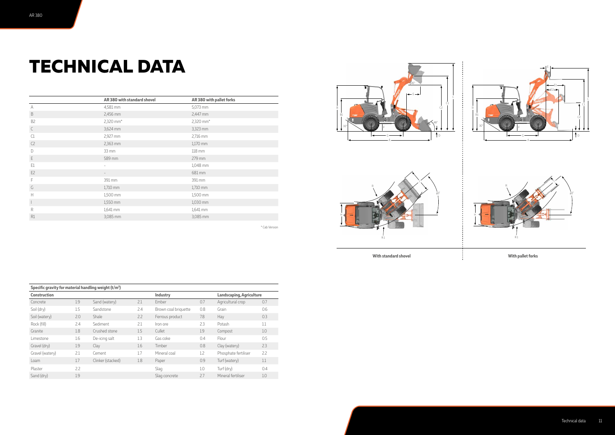# **TECHNICAL DATA**

| Specific gravity for material handling weight (t/m <sup>3</sup> ) |     |                   |                                 |                      |     |                      |     |
|-------------------------------------------------------------------|-----|-------------------|---------------------------------|----------------------|-----|----------------------|-----|
| <b>Construction</b><br>Industry                                   |     |                   | <b>Landscaping, Agriculture</b> |                      |     |                      |     |
| Concrete                                                          | 1.9 | Sand (watery)     | 2.1                             | Ember                | 0.7 | Agricultural crop    | 0.7 |
| Soil (dry)                                                        | 1.5 | Sandstone         | 2.4                             | Brown coal briquette | 0.8 | Grain                | 0.6 |
| Soil (watery)                                                     | 2.0 | <b>Shale</b>      | 2.2                             | Ferrous product      | 7.8 | Hay                  | 0.3 |
| Rock (fill)                                                       | 2.4 | Sediment          | 2.1                             | Iron ore             | 2.3 | Potash               | 1.1 |
| Granite                                                           | 1.8 | Crushed stone     | 1.5                             | Cullet               | 1.9 | Compost              | 1.0 |
| Limestone                                                         | 1.6 | De-icing salt     | 1.3                             | Gas coke             | 0.4 | Flour                | 0.5 |
| Gravel (dry)                                                      | 1.9 | Clay              | 1.6                             | Timber               | 0.8 | Clay (watery)        | 2.3 |
| Gravel (watery)                                                   | 2.1 | Cement            | 1.7                             | Mineral coal         | 1.2 | Phosphate fertiliser | 2.2 |
| Loam                                                              | 1.7 | Clinker (stacked) | 1.8                             | Paper                | 0.9 | Turf (watery)        | 1.1 |
| Plaster                                                           | 2.2 |                   |                                 | Slag                 | 1.0 | Turf (dry)           | 0.4 |
| Sand (dry)                                                        | 1.9 |                   |                                 | Slag concrete        | 2.7 | Mineral fertiliser   | 1.0 |



**With standard shovel With pallet forks**







|                | AR 380 with standard shovel | AR 380 with pallet forks |
|----------------|-----------------------------|--------------------------|
| А              | 4,581 mm                    | 5,073 mm                 |
| B              | 2,456 mm                    | 2,447 mm                 |
| B <sub>2</sub> | 2,320 mm*                   | 2,320 mm*                |
| C              | 3,624 mm                    | 3,323 mm                 |
| C1             | 2,927 mm                    | 2,716 mm                 |
| C <sub>2</sub> | 2,363 mm                    | 1,170 mm                 |
| D              | 33 mm                       | 118 mm                   |
| E              | 589 mm                      | 279 mm                   |
| E1             | ÷.                          | 1,048 mm                 |
| E <sub>2</sub> |                             | 681 mm                   |
| F              | 391 mm                      | 391 mm                   |
| G              | 1,710 mm                    | 1,710 mm                 |
| H              | 1,500 mm                    | 1,500 mm                 |
| $\mathbb{I}$   | 1,550 mm                    | 1,030 mm                 |
| R              | 1,641 mm                    | 1,641 mm                 |
| R1             | 3,085 mm                    | 3,085 mm                 |
|                |                             | * Cab Version            |